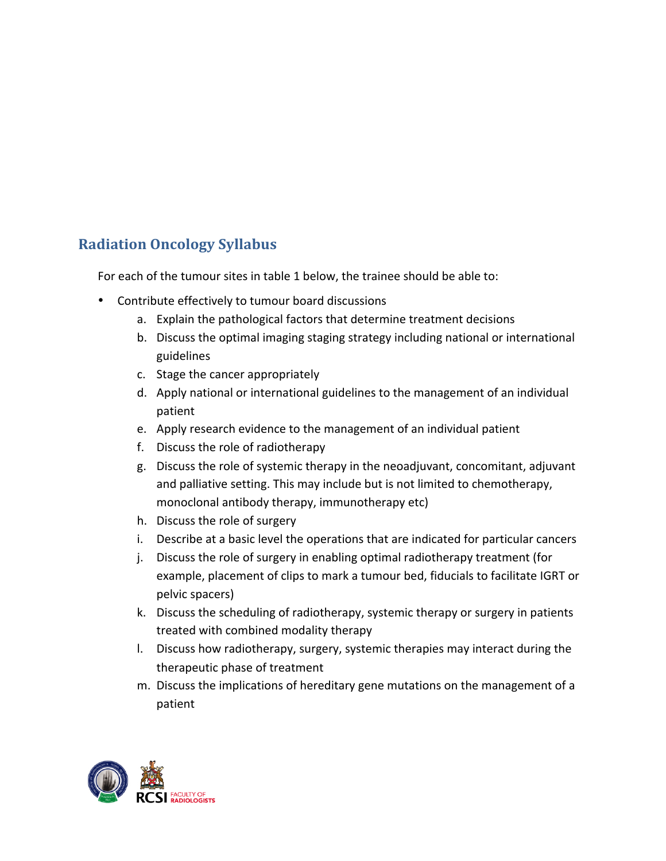# **Radiation Oncology Syllabus**

For each of the tumour sites in table 1 below, the trainee should be able to:

- Contribute effectively to tumour board discussions
	- a. Explain the pathological factors that determine treatment decisions
	- b. Discuss the optimal imaging staging strategy including national or international guidelines
	- c. Stage the cancer appropriately
	- d. Apply national or international guidelines to the management of an individual patient
	- e. Apply research evidence to the management of an individual patient
	- f. Discuss the role of radiotherapy
	- g. Discuss the role of systemic therapy in the neoadjuvant, concomitant, adjuvant and palliative setting. This may include but is not limited to chemotherapy, monoclonal antibody therapy, immunotherapy etc)
	- h. Discuss the role of surgery
	- i. Describe at a basic level the operations that are indicated for particular cancers
	- j. Discuss the role of surgery in enabling optimal radiotherapy treatment (for example, placement of clips to mark a tumour bed, fiducials to facilitate IGRT or pelvic spacers)
	- k. Discuss the scheduling of radiotherapy, systemic therapy or surgery in patients treated with combined modality therapy
	- I. Discuss how radiotherapy, surgery, systemic therapies may interact during the therapeutic phase of treatment
	- m. Discuss the implications of hereditary gene mutations on the management of a patient

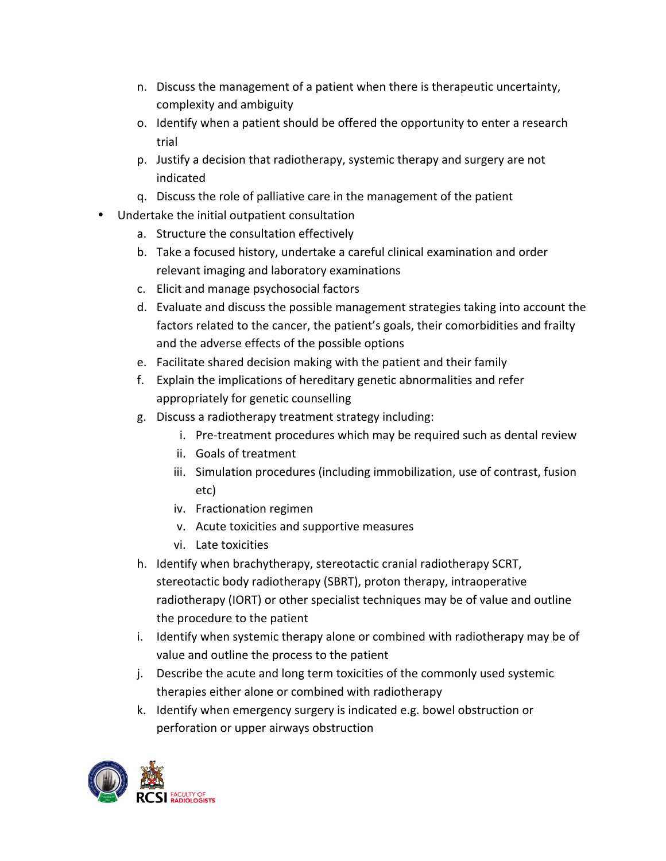- n. Discuss the management of a patient when there is therapeutic uncertainty, complexity and ambiguity
- o. Identify when a patient should be offered the opportunity to enter a research trial
- p. Justify a decision that radiotherapy, systemic therapy and surgery are not indicated
- q. Discuss the role of palliative care in the management of the patient
- Undertake the initial outpatient consultation
	- a. Structure the consultation effectively
	- b. Take a focused history, undertake a careful clinical examination and order relevant imaging and laboratory examinations
	- c. Elicit and manage psychosocial factors
	- d. Evaluate and discuss the possible management strategies taking into account the factors related to the cancer, the patient's goals, their comorbidities and frailty and the adverse effects of the possible options
	- e. Facilitate shared decision making with the patient and their family
	- f. Explain the implications of hereditary genetic abnormalities and refer appropriately for genetic counselling
	- g. Discuss a radiotherapy treatment strategy including:
		- i. Pre-treatment procedures which may be required such as dental review
		- ii. Goals of treatment
		- iii. Simulation procedures (including immobilization, use of contrast, fusion etc)
		- iv. Fractionation regimen
		- v. Acute toxicities and supportive measures
		- vi. Late toxicities
	- h. Identify when brachytherapy, stereotactic cranial radiotherapy SCRT,
		- stereotactic body radiotherapy (SBRT), proton therapy, intraoperative radiotherapy (IORT) or other specialist techniques may be of value and outline the procedure to the patient
	- i. Identify when systemic therapy alone or combined with radiotherapy may be of value and outline the process to the patient
	- j. Describe the acute and long term toxicities of the commonly used systemic therapies either alone or combined with radiotherapy
	- k. Identify when emergency surgery is indicated e.g. bowel obstruction or perforation or upper airways obstruction

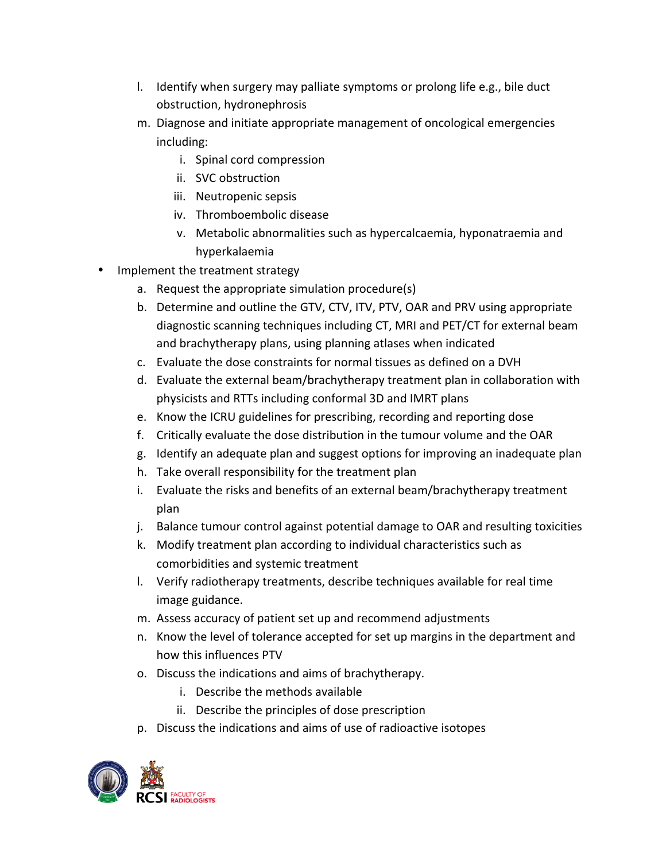- l. Identify when surgery may palliate symptoms or prolong life e.g., bile duct obstruction, hydronephrosis
- m. Diagnose and initiate appropriate management of oncological emergencies including:
	- i. Spinal cord compression
	- ii. SVC obstruction
	- iii. Neutropenic sepsis
	- iv. Thromboembolic disease
	- v. Metabolic abnormalities such as hypercalcaemia, hyponatraemia and hyperkalaemia
- Implement the treatment strategy
	- a. Request the appropriate simulation procedure(s)
	- b. Determine and outline the GTV, CTV, ITV, PTV, OAR and PRV using appropriate diagnostic scanning techniques including CT, MRI and PET/CT for external beam and brachytherapy plans, using planning atlases when indicated
	- c. Evaluate the dose constraints for normal tissues as defined on a DVH
	- d. Evaluate the external beam/brachytherapy treatment plan in collaboration with physicists and RTTs including conformal 3D and IMRT plans
	- e. Know the ICRU guidelines for prescribing, recording and reporting dose
	- f. Critically evaluate the dose distribution in the tumour volume and the OAR
	- g. Identify an adequate plan and suggest options for improving an inadequate plan
	- h. Take overall responsibility for the treatment plan
	- i. Evaluate the risks and benefits of an external beam/brachytherapy treatment plan
	- j. Balance tumour control against potential damage to OAR and resulting toxicities
	- k. Modify treatment plan according to individual characteristics such as comorbidities and systemic treatment
	- I. Verify radiotherapy treatments, describe techniques available for real time image guidance.
	- m. Assess accuracy of patient set up and recommend adjustments
	- n. Know the level of tolerance accepted for set up margins in the department and how this influences PTV
	- o. Discuss the indications and aims of brachytherapy.
		- i. Describe the methods available
		- ii. Describe the principles of dose prescription
	- p. Discuss the indications and aims of use of radioactive isotopes

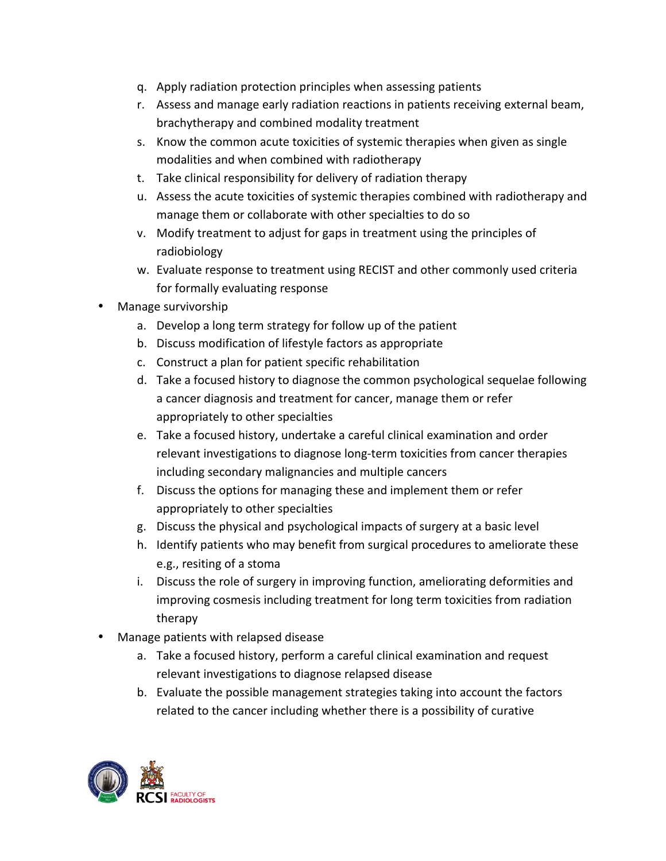- q. Apply radiation protection principles when assessing patients
- r. Assess and manage early radiation reactions in patients receiving external beam, brachytherapy and combined modality treatment
- s. Know the common acute toxicities of systemic therapies when given as single modalities and when combined with radiotherapy
- t. Take clinical responsibility for delivery of radiation therapy
- u. Assess the acute toxicities of systemic therapies combined with radiotherapy and manage them or collaborate with other specialties to do so
- v. Modify treatment to adjust for gaps in treatment using the principles of radiobiology
- w. Evaluate response to treatment using RECIST and other commonly used criteria for formally evaluating response
- Manage survivorship
	- a. Develop a long term strategy for follow up of the patient
	- b. Discuss modification of lifestyle factors as appropriate
	- c. Construct a plan for patient specific rehabilitation
	- d. Take a focused history to diagnose the common psychological sequelae following a cancer diagnosis and treatment for cancer, manage them or refer appropriately to other specialties
	- e. Take a focused history, undertake a careful clinical examination and order relevant investigations to diagnose long-term toxicities from cancer therapies including secondary malignancies and multiple cancers
	- f. Discuss the options for managing these and implement them or refer appropriately to other specialties
	- g. Discuss the physical and psychological impacts of surgery at a basic level
	- h. Identify patients who may benefit from surgical procedures to ameliorate these e.g., resiting of a stoma
	- i. Discuss the role of surgery in improving function, ameliorating deformities and improving cosmesis including treatment for long term toxicities from radiation therapy
- Manage patients with relapsed disease
	- a. Take a focused history, perform a careful clinical examination and request relevant investigations to diagnose relapsed disease
	- b. Evaluate the possible management strategies taking into account the factors related to the cancer including whether there is a possibility of curative

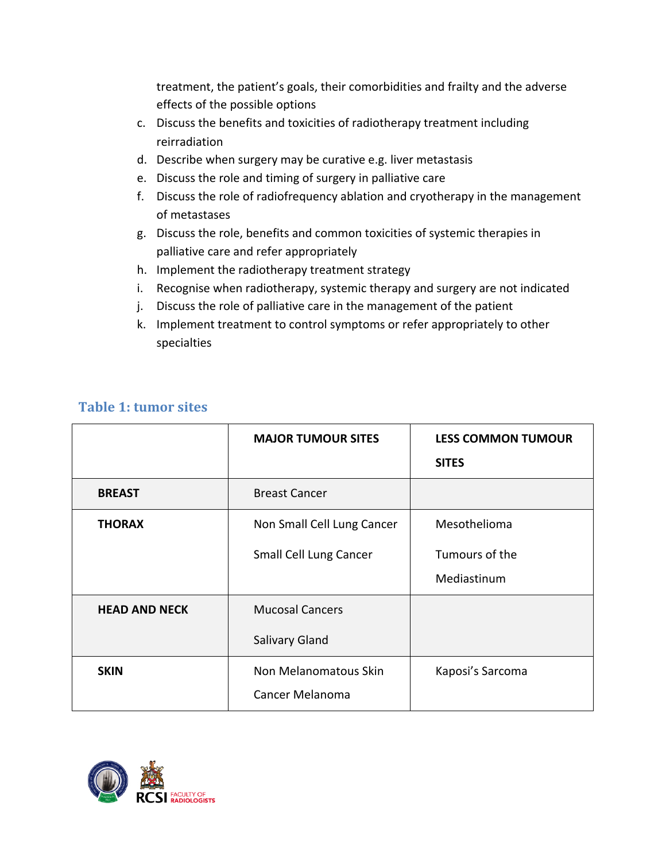treatment, the patient's goals, their comorbidities and frailty and the adverse effects of the possible options

- c. Discuss the benefits and toxicities of radiotherapy treatment including reirradiation
- d. Describe when surgery may be curative e.g. liver metastasis
- e. Discuss the role and timing of surgery in palliative care
- f. Discuss the role of radiofrequency ablation and cryotherapy in the management of metastases
- g. Discuss the role, benefits and common toxicities of systemic therapies in palliative care and refer appropriately
- h. Implement the radiotherapy treatment strategy
- i. Recognise when radiotherapy, systemic therapy and surgery are not indicated
- j. Discuss the role of palliative care in the management of the patient
- k. Implement treatment to control symptoms or refer appropriately to other specialties

|                      | <b>MAJOR TUMOUR SITES</b>  | <b>LESS COMMON TUMOUR</b><br><b>SITES</b> |
|----------------------|----------------------------|-------------------------------------------|
| <b>BREAST</b>        | <b>Breast Cancer</b>       |                                           |
| <b>THORAX</b>        | Non Small Cell Lung Cancer | Mesothelioma                              |
|                      | Small Cell Lung Cancer     | Tumours of the                            |
|                      |                            | Mediastinum                               |
| <b>HEAD AND NECK</b> | <b>Mucosal Cancers</b>     |                                           |
|                      | Salivary Gland             |                                           |
| <b>SKIN</b>          | Non Melanomatous Skin      | Kaposi's Sarcoma                          |
|                      | <b>Cancer Melanoma</b>     |                                           |

#### **Table 1: tumor sites**

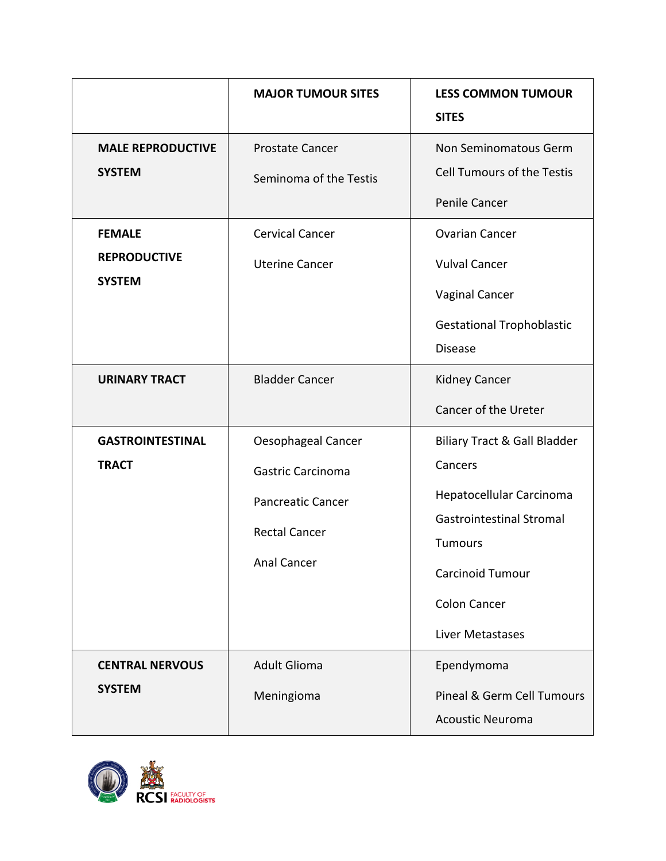|                                                       | <b>MAJOR TUMOUR SITES</b>                                                                                         | <b>LESS COMMON TUMOUR</b><br><b>SITES</b>                                                                                                                                                                 |
|-------------------------------------------------------|-------------------------------------------------------------------------------------------------------------------|-----------------------------------------------------------------------------------------------------------------------------------------------------------------------------------------------------------|
| <b>MALE REPRODUCTIVE</b><br><b>SYSTEM</b>             | <b>Prostate Cancer</b><br>Seminoma of the Testis                                                                  | Non Seminomatous Germ<br><b>Cell Tumours of the Testis</b><br>Penile Cancer                                                                                                                               |
| <b>FEMALE</b><br><b>REPRODUCTIVE</b><br><b>SYSTEM</b> | <b>Cervical Cancer</b><br><b>Uterine Cancer</b>                                                                   | <b>Ovarian Cancer</b><br><b>Vulval Cancer</b><br><b>Vaginal Cancer</b><br><b>Gestational Trophoblastic</b><br><b>Disease</b>                                                                              |
| <b>URINARY TRACT</b>                                  | <b>Bladder Cancer</b>                                                                                             | Kidney Cancer<br>Cancer of the Ureter                                                                                                                                                                     |
| <b>GASTROINTESTINAL</b><br><b>TRACT</b>               | Oesophageal Cancer<br>Gastric Carcinoma<br><b>Pancreatic Cancer</b><br><b>Rectal Cancer</b><br><b>Anal Cancer</b> | <b>Biliary Tract &amp; Gall Bladder</b><br>Cancers<br>Hepatocellular Carcinoma<br><b>Gastrointestinal Stromal</b><br><b>Tumours</b><br><b>Carcinoid Tumour</b><br><b>Colon Cancer</b><br>Liver Metastases |
| <b>CENTRAL NERVOUS</b><br><b>SYSTEM</b>               | <b>Adult Glioma</b><br>Meningioma                                                                                 | Ependymoma<br>Pineal & Germ Cell Tumours<br><b>Acoustic Neuroma</b>                                                                                                                                       |

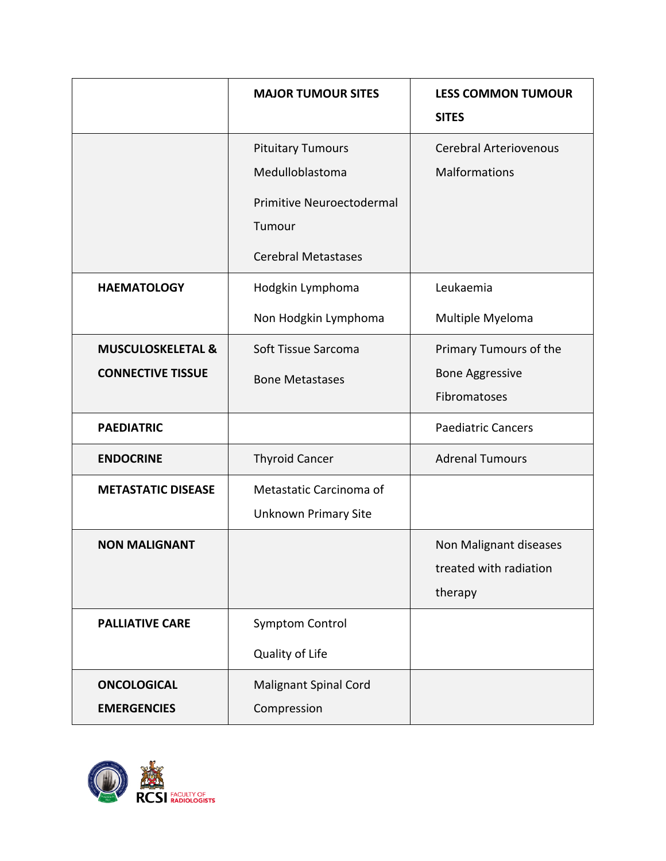|                                                          | <b>MAJOR TUMOUR SITES</b>                                                                                        | <b>LESS COMMON TUMOUR</b><br><b>SITES</b>                        |
|----------------------------------------------------------|------------------------------------------------------------------------------------------------------------------|------------------------------------------------------------------|
|                                                          | <b>Pituitary Tumours</b><br>Medulloblastoma<br>Primitive Neuroectodermal<br>Tumour<br><b>Cerebral Metastases</b> | <b>Cerebral Arteriovenous</b><br><b>Malformations</b>            |
| <b>HAEMATOLOGY</b>                                       | Hodgkin Lymphoma<br>Non Hodgkin Lymphoma                                                                         | Leukaemia<br>Multiple Myeloma                                    |
| <b>MUSCULOSKELETAL &amp;</b><br><b>CONNECTIVE TISSUE</b> | Soft Tissue Sarcoma<br><b>Bone Metastases</b>                                                                    | Primary Tumours of the<br><b>Bone Aggressive</b><br>Fibromatoses |
| <b>PAEDIATRIC</b>                                        |                                                                                                                  | <b>Paediatric Cancers</b>                                        |
| <b>ENDOCRINE</b>                                         | <b>Thyroid Cancer</b>                                                                                            | <b>Adrenal Tumours</b>                                           |
| <b>METASTATIC DISEASE</b>                                | Metastatic Carcinoma of<br><b>Unknown Primary Site</b>                                                           |                                                                  |
| <b>NON MALIGNANT</b>                                     |                                                                                                                  | Non Malignant diseases<br>treated with radiation<br>therapy      |
| <b>PALLIATIVE CARE</b>                                   | <b>Symptom Control</b><br>Quality of Life                                                                        |                                                                  |
| <b>ONCOLOGICAL</b><br><b>EMERGENCIES</b>                 | <b>Malignant Spinal Cord</b><br>Compression                                                                      |                                                                  |

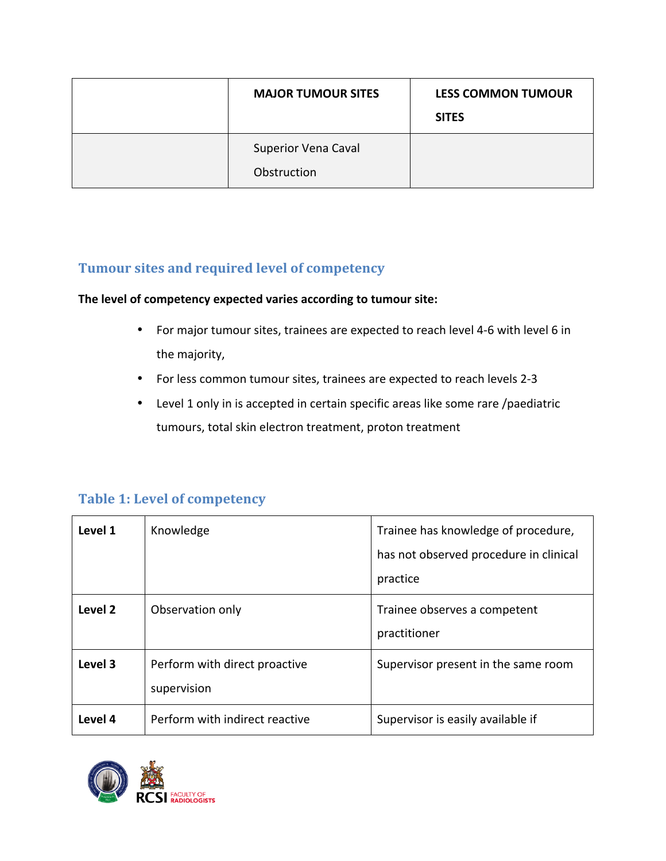| <b>MAJOR TUMOUR SITES</b>                 | <b>LESS COMMON TUMOUR</b><br><b>SITES</b> |
|-------------------------------------------|-------------------------------------------|
| <b>Superior Vena Caval</b><br>Obstruction |                                           |

## **Tumour sites and required level of competency**

#### The level of competency expected varies according to tumour site:

- For major tumour sites, trainees are expected to reach level 4-6 with level 6 in the majority,
- For less common tumour sites, trainees are expected to reach levels 2-3
- Level 1 only in is accepted in certain specific areas like some rare /paediatric tumours, total skin electron treatment, proton treatment

### **Table 1: Level of competency**

| Level 1 | Knowledge                                    | Trainee has knowledge of procedure,    |
|---------|----------------------------------------------|----------------------------------------|
|         |                                              | has not observed procedure in clinical |
|         |                                              | practice                               |
| Level 2 | Observation only                             | Trainee observes a competent           |
|         |                                              | practitioner                           |
| Level 3 | Perform with direct proactive<br>supervision | Supervisor present in the same room    |
| Level 4 | Perform with indirect reactive               | Supervisor is easily available if      |